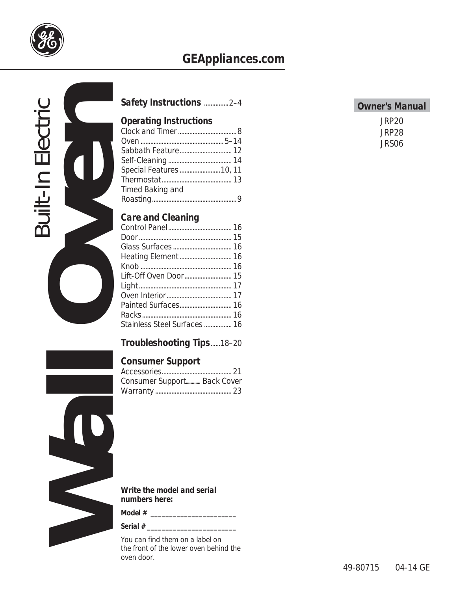

# *GEAppliances.com*



| Safety Instructions 2-4 |  |
|-------------------------|--|
|                         |  |

# *Operating Instructions*

| Special Features  10, 11 |  |
|--------------------------|--|
|                          |  |
| Timed Baking and         |  |
|                          |  |

# *Care and Cleaning*

| Stainless Steel Surfaces 16 |  |
|-----------------------------|--|
|                             |  |

# *Troubleshooting Tips* ......18–20

## *Consumer Support*

| Consumer Support Back Cover |  |
|-----------------------------|--|
|                             |  |



*Write the model and serial numbers here:*

*Model # \_\_\_\_\_\_\_\_\_\_\_\_\_\_\_\_\_\_\_\_\_\_\_*

*Serial # \_\_\_\_\_\_\_\_\_\_\_\_\_\_\_\_\_\_\_\_\_\_\_\_*

You can find them on a label on the front of the lower oven behind the oven door.

### *Owner's Manual*

*JRP20 JRP28 JRS06*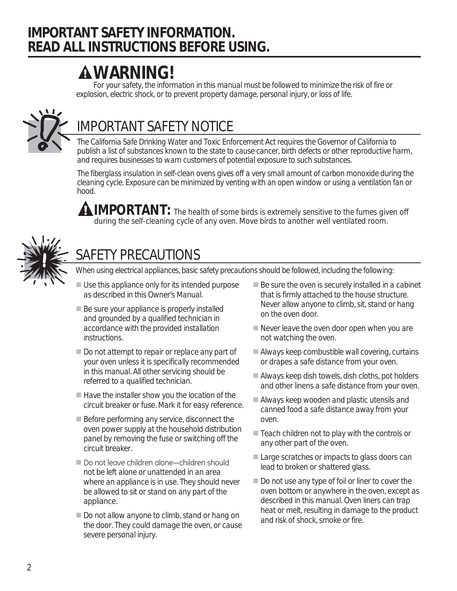# *IMPORTANT SAFETY INFORMATION. READ ALL INSTRUCTIONS BEFORE USING.*

# *WARNING!*

*For your safety, the information in this manual must be followed to minimize the risk of fire or explosion, electric shock, or to prevent property damage, personal injury, or loss of life.*



# *IMPORTANT SAFETY NOTICE*

*The California Safe Drinking Water and Toxic Enforcement Act requires the Governor of California to publish a list of substances known to the state to cause cancer, birth defects or other reproductive harm, and requires businesses to warn customers of potential exposure to such substances.*

*The fiberglass insulation in self-clean ovens gives off a very small amount of carbon monoxide during the cleaning cycle. Exposure can be minimized by venting with an open window or using a ventilation fan or hood.*

*IMPORTANT: The health of some birds is extremely sensitive to the fumes given off during the self-cleaning cycle of any oven. Move birds to another well ventilated room.*



# *SAFETY PRECAUTIONS*

*When using electrical appliances, basic safety precautions should be followed, including the following:*

- Use this appliance only for its intended purpose as described in this Owner's Manual.
- $\blacksquare$  Be sure your appliance is properly installed and grounded by a qualified technician in accordance with the provided installation instructions.
- Do not attempt to repair or replace any part of your oven unless it is specifically recommended in this manual. All other servicing should be referred to a qualified technician.
- $\blacksquare$  Have the installer show you the location of the circuit breaker or fuse. Mark it for easy reference.
- Before performing any service, disconnect the oven power supply at the household distribution panel by removing the fuse or switching off the circuit breaker.
- $\blacksquare$  Do not leave children alone—children should not be left alone or unattended in an area where an appliance is in use. They should never be allowed to sit or stand on any part of the appliance.
- Do not allow anyone to climb, stand or hang on the door. They could damage the oven, or cause severe personal injury.
- Be sure the oven is securely installed in a cabinet that is firmly attached to the house structure. Never allow anyone to climb, sit, stand or hang on the oven door.
- Never leave the oven door open when you are not watching the oven.
- Always keep combustible wall covering, curtains or drapes a safe distance from your oven.
- Always keep dish towels, dish cloths, pot holders and other linens a safe distance from your oven.
- Always keep wooden and plastic utensils and canned food a safe distance away from your oven.
- $\blacksquare$  Teach children not to play with the controls or any other part of the oven.
- Large scratches or impacts to glass doors can lead to broken or shattered glass.
- Do not use any type of foil or liner to cover the oven bottom or anywhere in the oven, except as described in this manual. Oven liners can trap heat or melt, resulting in damage to the product and risk of shock, smoke or fire.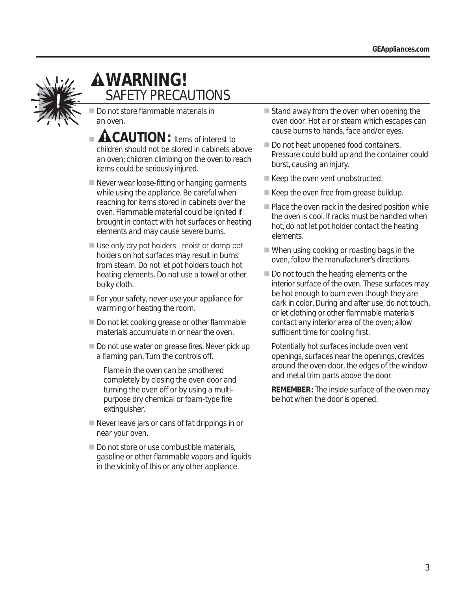

# *WARNING! SAFETY PRECAUTIONS*

Do not store flammable materials in an oven.

- **A CAUTION:** Items of interest to children should not be stored in cabinets above an oven; children climbing on the oven to reach items could be seriously injured.
- Never wear loose-fitting or hanging garments while using the appliance. Be careful when reaching for items stored in cabinets over the oven. Flammable material could be ignited if brought in contact with hot surfaces or heating elements and may cause severe burns.
- Use only dry pot holders—moist or damp pot holders on hot surfaces may result in burns from steam. Do not let pot holders touch hot heating elements. Do not use a towel or other bulky cloth.
- For your safety, never use your appliance for warming or heating the room.
- Do not let cooking grease or other flammable materials accumulate in or near the oven.
- Do not use water on grease fires. Never pick up a flaming pan. Turn the controls off.

Flame in the oven can be smothered completely by closing the oven door and turning the oven off or by using a multipurpose dry chemical or foam-type fire extinguisher.

- Never leave jars or cans of fat drippings in or near your oven.
- Do not store or use combustible materials, gasoline or other flammable vapors and liquids in the vicinity of this or any other appliance.
- $\blacksquare$  Stand away from the oven when opening the oven door. Hot air or steam which escapes can cause burns to hands, face and/or eyes.
- Do not heat unopened food containers. Pressure could build up and the container could burst, causing an injury.
- $\blacksquare$  Keep the oven vent unobstructed.
- Keep the oven free from grease buildup.
- $\blacksquare$  Place the oven rack in the desired position while the oven is cool. If racks must be handled when hot, do not let pot holder contact the heating elements.
- When using cooking or roasting bags in the oven, follow the manufacturer's directions.
- Do not touch the heating elements or the interior surface of the oven. These surfaces may be hot enough to burn even though they are dark in color. During and after use, do not touch, or let clothing or other flammable materials contact any interior area of the oven; allow sufficient time for cooling first.

 Potentially hot surfaces include oven vent openings, surfaces near the openings, crevices around the oven door, the edges of the window and metal trim parts above the door.

 *REMEMBER:* The inside surface of the oven may be hot when the door is opened.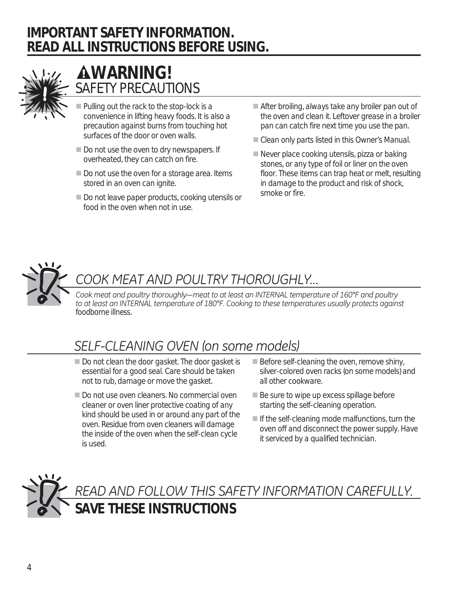# *IMPORTANT SAFETY INFORMATION. READ ALL INSTRUCTIONS BEFORE USING.*



# *WARNING! SAFETY PRECAUTIONS*

- Pulling out the rack to the stop-lock is a convenience in lifting heavy foods. It is also a precaution against burns from touching hot surfaces of the door or oven walls.
- Do not use the oven to dry newspapers. If overheated, they can catch on fire.
- Do not use the oven for a storage area. Items stored in an oven can ignite.
- Do not leave paper products, cooking utensils or food in the oven when not in use.
- After broiling, always take any broiler pan out of the oven and clean it. Leftover grease in a broiler pan can catch fire next time you use the pan.
- Clean only parts listed in this Owner's Manual.
- Never place cooking utensils, pizza or baking stones, or any type of foil or liner on the oven floor. These items can trap heat or melt, resulting in damage to the product and risk of shock, smoke or fire.



# COOK MEAT AND POULTRY THOROUGHLY...

Cook meat and poultry thoroughly—meat to at least an INTERNAL temperature of 160°F and poultry to at least an INTERNAL temperature of 180°F. Cooking to these temperatures usually protects against *foodborne illness.*

# **SELF-CLEANING OVEN (on some models)**

- Do not clean the door gasket. The door gasket is essential for a good seal. Care should be taken not to rub, damage or move the gasket.
- Do not use oven cleaners. No commercial oven cleaner or oven liner protective coating of any kind should be used in or around any part of the oven. Residue from oven cleaners will damage the inside of the oven when the self-clean cycle is used.
- $\blacksquare$  Before self-cleaning the oven, remove shiny, silver-colored oven racks (on some models) and all other cookware.
- $\blacksquare$  Be sure to wipe up excess spillage before starting the self-cleaning operation.
- $\blacksquare$  If the self-cleaning mode malfunctions, turn the oven off and disconnect the power supply. Have it serviced by a qualified technician.

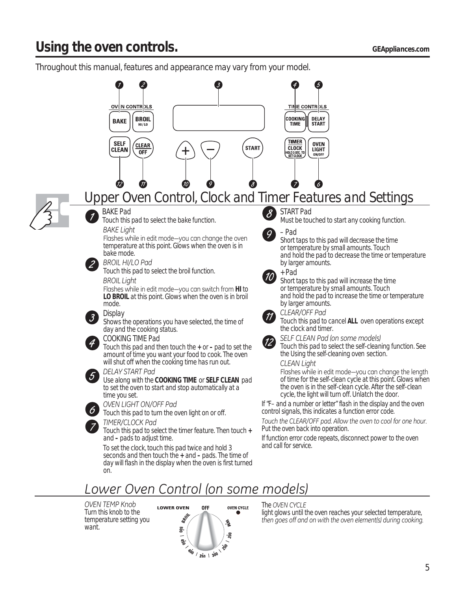*Throughout this manual, features and appearance may vary from your model.*



*OVEN TEMP Knob* Turn this knob to the temperature setting you want.



#### *The OVEN CYCLE*

*light glows until the oven reaches your selected temperature,*  then goes off and on with the oven element(s) during cooking.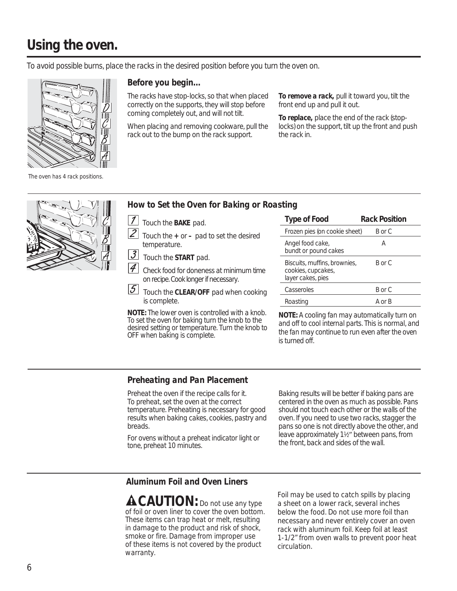# *Using the oven.*

*To avoid possible burns, place the racks in the desired position before you turn the oven on.*

*Before you begin…*



The racks have stop-locks, so that when placed correctly on the supports, they will stop before coming completely out, and will not tilt.

When placing and removing cookware, pull the rack out to the bump on the rack support.

*To remove a rack,* pull it toward you, tilt the front end up and pull it out.

*To replace,* place the end of the rack (stoplocks) on the support, tilt up the front and push the rack in.

*The oven has 4 rack positions.*



- Touch the *BAKE* pad.
- $|2|$  Touch the *+* or *–* pad to set the desired temperature.

**3** Touch the **START** pad.

4 Check food for doneness at minimum time on recipe. Cook longer if necessary.

 $|5|$  Touch the *CLEAR/OFF* pad when cooking is complete.

*NOTE: The lower oven is controlled with a knob. To set the oven for baking turn the knob to the desired setting or temperature. Turn the knob to OFF when baking is complete.* 

| <b>Type of Food</b>                                                     | Rack Position |
|-------------------------------------------------------------------------|---------------|
| Frozen pies (on cookie sheet)                                           | B or C        |
| Angel food cake,<br>bundt or pound cakes                                | А             |
| Biscuits, muffins, brownies,<br>cookies, cupcakes,<br>layer cakes, pies | B or C        |
| Casseroles                                                              | B or C        |
| Roasting                                                                | A or B        |

*NOTE: A cooling fan may automatically turn on and off to cool internal parts. This is normal, and the fan may continue to run even after the oven is turned off.*

### *Preheating and Pan Placement*

Preheat the oven if the recipe calls for it. To preheat, set the oven at the correct temperature. Preheating is necessary for good results when baking cakes, cookies, pastry and breads.

*For ovens without a preheat indicator light or tone, preheat 10 minutes.*

Baking results will be better if baking pans are centered in the oven as much as possible. Pans should not touch each other or the walls of the oven. If you need to use two racks, stagger the pans so one is not directly above the other, and leave approximately 1½" between pans, from the front, back and sides of the wall.

### *Aluminum Foil and Oven Liners*

*CAUTION: Do not use any type of foil or oven liner to cover the oven bottom. These items can trap heat or melt, resulting in damage to the product and risk of shock, smoke or fire. Damage from improper use of these items is not covered by the product warranty.*

Foil may be used to catch spills by placing a sheet on a lower rack, several inches below the food. Do not use more foil than necessary and never entirely cover an oven rack with aluminum foil. Keep foil at least 1-1/2" from oven walls to prevent poor heat circulation.

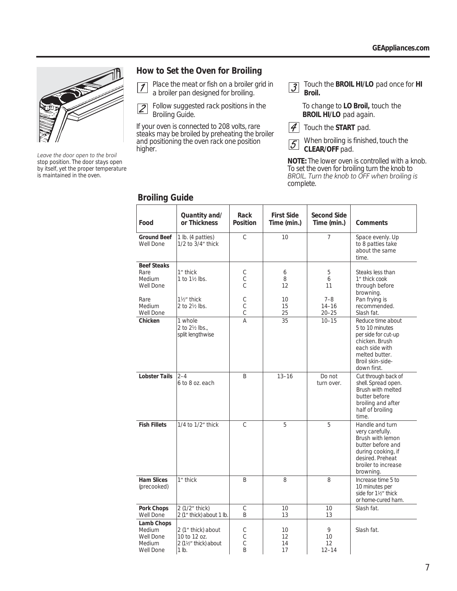

Leave the door open to the broil *stop position. The door stays open by itself, yet the proper temperature is maintained in the oven.*

### *How to Set the Oven for Broiling*

 Place the meat or fish on a broiler grid in  $\sqrt{ }$ a broiler pan designed for broiling.

 $\overline{2}$  Follow suggested rack positions in the *Broiling Guide.*

*If your oven is connected to 208 volts, rare steaks may be broiled by preheating the broiler and positioning the oven rack one position higher.*

 Touch the *BROIL HI/LO* pad once for *HI*   $\overline{3}$ *Broil.*

> To change to *LO Broil,* touch the *BROIL HI/LO* pad again.

 $|4|$ Touch the *START* pad.

 When broiling is finished, touch the  $|\mathcal{S}|$ *CLEAR/OFF* pad.

*NOTE: The lower oven is controlled with a knob. To set the oven for broiling turn the knob to*  BROIL. Turn the knob to OFF when broiling is *complete.*

| Food                                                     | Quantity and/<br>or Thickness                                        | Rack<br>Position                       | <b>First Side</b><br>Time (min.) | Second Side<br>Time (min.)        | Comments                                                                                                                                                  |
|----------------------------------------------------------|----------------------------------------------------------------------|----------------------------------------|----------------------------------|-----------------------------------|-----------------------------------------------------------------------------------------------------------------------------------------------------------|
| <b>Ground Beef</b><br>Well Done                          | 1 lb. (4 patties)<br>1/2 to 3/4" thick                               | C                                      | 10                               | 7                                 | Space evenly. Up<br>to 8 patties take<br>about the same<br>time.                                                                                          |
| <b>Beef Steaks</b><br>Rare<br>Medium<br>Well Done        | 1" thick<br>1 to 1½ lbs.                                             | С<br>$\mathbb C$<br>Ċ                  | 6<br>8<br>12                     | 5<br>6<br>11                      | Steaks less than<br>1" thick cook<br>through before<br>browning.                                                                                          |
| Rare<br>Medium<br>Well Done                              | 11/2" thick<br>2 to 2½ lbs.                                          | С<br>$\mathcal{C}$<br>$\mathcal{C}$    | 10<br>15<br>25                   | $7 - 8$<br>$14 - 16$<br>$20 - 25$ | Pan frying is<br>recommended.<br>Slash fat.                                                                                                               |
| Chicken                                                  | 1 whole<br>2 to 21/2 lbs.,<br>split lengthwise                       | A                                      | 35                               | $10 - 15$                         | Reduce time about<br>5 to 10 minutes<br>per side for cut-up<br>chicken. Brush<br>each side with<br>melted butter.<br>Broil skin-side-<br>down first.      |
| <b>Lobster Tails</b>                                     | $2 - 4$<br>6 to 8 oz. each                                           | B                                      | $13 - 16$                        | Do not<br>turn over.              | Cut through back of<br>shell. Spread open.<br>Brush with melted<br>butter before<br>broiling and after<br>half of broiling<br>time.                       |
| <b>Fish Fillets</b>                                      | 1/4 to 1/2" thick                                                    | C                                      | 5                                | 5                                 | Handle and turn<br>very carefully.<br>Brush with lemon<br>butter before and<br>during cooking, if<br>desired. Preheat<br>broiler to increase<br>browning. |
| <b>Ham Slices</b><br>(precooked)                         | 1" thick                                                             | B                                      | 8                                | 8                                 | Increase time 5 to<br>10 minutes per<br>side for 11/2" thick<br>or home-cured ham.                                                                        |
| Pork Chops<br>Well Done                                  | 2 (1/2" thick)<br>2 (1" thick) about 1 lb.                           | $\mathsf C$<br>B                       | 10<br>13                         | 10<br>13                          | Slash fat.                                                                                                                                                |
| Lamb Chops<br>Medium<br>Well Done<br>Medium<br>Well Done | 2 (1" thick) about<br>10 to 12 oz.<br>2 (11/2" thick) about<br>1 lb. | С<br>$\mathsf{C}$<br>C<br><sub>R</sub> | 10<br>12<br>14<br>17             | 9<br>10<br>12<br>$12 - 14$        | Slash fat.                                                                                                                                                |

### *Broiling Guide*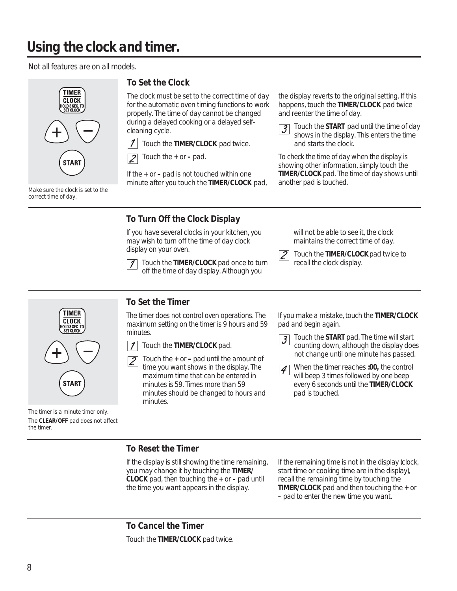# *Using the clock and timer.*

*Not all features are on all models.*



*Make sure the clock is set to the correct time of day.*

## *To Set the Clock*

The clock must be set to the correct time of day for the automatic oven timing functions to work properly. The time of day cannot be changed during a delayed cooking or a delayed selfcleaning cycle.

 $\mathcal I$ Touch the *TIMER/CLOCK* pad twice.

 Touch the *+* or *–* pad.  $\overline{\mathcal{P}}$ 

If the *+* or *–* pad is not touched within one minute after you touch the *TIMER/CLOCK* pad,

*To Turn Off the Clock Display*

If you have several clocks in your kitchen, you may wish to turn off the time of day clock display on your oven.

> Touch the *TIMER/CLOCK* pad once to turn off the time of day display. Although you

will not be able to see it, the clock maintains the correct time of day.

 $\mathcal{J}_{\mathcal{S}}$ 

 Touch the *TIMER/CLOCK* pad twice to recall the clock display.

the display reverts to the original setting. If this happens, touch the *TIMER/CLOCK* pad twice

*To check the time of day when the display is showing other information, simply touch the TIMER/CLOCK pad. The time of day shows until* 

 Touch the *START* pad until the time of day shows in the display. This enters the time

and reenter the time of day.

and starts the clock.

*another pad is touched.*



*The timer is a minute timer only. The CLEAR/OFF pad does not affect the timer.*

# *To Set the Timer*

*The timer does not control oven operations. The maximum setting on the timer is 9 hours and 59 minutes.*



 Touch the *+* or *–* pad until the amount of  $\overline{\mathcal{Z}}$ time you want shows in the display. The maximum time that can be entered in minutes is 59. Times more than 59 minutes should be changed to hours and minutes.

*If you make a mistake, touch the TIMER/CLOCK pad and begin again.*

**3** Touch the **START** pad. The time will start counting down, although the display does not change until one minute has passed.

**7** When the timer reaches *:00*, the control will beep 3 times followed by one beep every 6 seconds until the *TIMER/CLOCK* pad is touched.

### *To Reset the Timer*

If the display is still showing the time remaining, you may change it by touching the *TIMER/ CLOCK* pad, then touching the *+* or *–* pad until the time you want appears in the display.

If the remaining time is not in the display (clock, start time or cooking time are in the display), recall the remaining time by touching the *TIMER/CLOCK* pad and then touching the *+* or *–* pad to enter the new time you want.

*To Cancel the Timer* Touch the *TIMER/CLOCK* pad twice.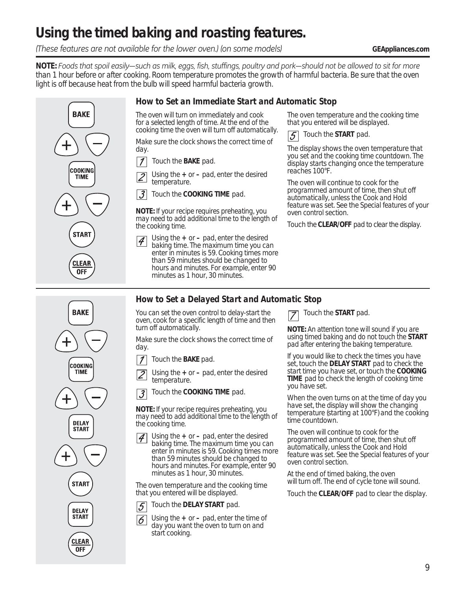# *Using the timed baking and roasting features.*

*These features are not available for the lower oven.) (on some models) GEAppliances.com* 

*NOTE:* Foods that spoil easily—such as milk, eggs, fish, stuffings, poultry and pork—should not be allowed to sit for more *than 1 hour before or after cooking. Room temperature promotes the growth of harmful bacteria. Be sure that the oven light is off because heat from the bulb will speed harmful bacteria growth.*

### *How to Set an Immediate Start and Automatic Stop*

*The oven will turn on immediately and cook for a selected length of time. At the end of the cooking time the oven will turn off automatically.*

Make sure the clock shows the correct time of day.

 $\boldsymbol{\mathcal{I}}$ Touch the *BAKE* pad.

 Using the *+* or *–* pad, enter the desired  $\overline{2}$ temperature.

 $\mathfrak{Z}$ Touch the *COOKING TIME* pad.

*NOTE: If your recipe requires preheating, you may need to add additional time to the length of the cooking time.*

 Using the *+* or *–* pad, enter the desired  $|4\rangle$ baking time. The maximum time you can enter in minutes is 59. Cooking times more than 59 minutes should be changed to hours and minutes. For example, enter 90 minutes as 1 hour, 30 minutes.

The oven temperature and the cooking time that you entered will be displayed.



The display shows the oven temperature that you set and the cooking time countdown. The display starts changing once the temperature reaches 100°F.

The oven will continue to cook for the programmed amount of time, then shut off automatically, unless the Cook and Hold feature was set. See the *Special features of your oven control* section.

Touch the *CLEAR/OFF* pad to clear the display.



**BAKE** 

COOKING

**TIME** 

**START** 

**CLEAR OFF** 

> *You can set the oven control to delay-start the oven, cook for a specific length of time and then turn off automatically.*

*How to Set a Delayed Start and Automatic Stop*

Make sure the clock shows the correct time of day.

- $\boldsymbol{\mathcal{I}}$ Touch the *BAKE* pad.
- Using the *+* or *–* pad, enter the desired  $\overline{2}$ temperature.
- Touch the *COOKING TIME* pad.  $\overline{3}$

*NOTE: If your recipe requires preheating, you may need to add additional time to the length of the cooking time.*

 Using the *+* or *–* pad, enter the desired  $\vert \mathcal{A} \vert$ baking time. The maximum time you can enter in minutes is 59. Cooking times more than 59 minutes should be changed to hours and minutes. For example, enter 90 minutes as 1 hour, 30 minutes.

The oven temperature and the cooking time that you entered will be displayed.

- Touch the *DELAY START* pad. 5
- Using the *+* or *–* pad, enter the time of 6 day you want the oven to turn on and start cooking.

Touch the *START* pad.

*NOTE: An attention tone will sound if you are using timed baking and do not touch the START pad after entering the baking temperature.*

If you would like to check the times you have set, touch the *DELAY START* pad to check the start time you have set, or touch the *COOKING*  **TIME** pad to check the length of cooking time you have set.

When the oven turns on at the time of day you have set, the display will show the changing temperature (starting at 100°F) and the cooking time countdown.

The oven will continue to cook for the programmed amount of time, then shut off automatically, unless the Cook and Hold feature was set. See the *Special features of your oven control* section.

At the end of timed baking, the oven will turn off. The end of cycle tone will sound.

Touch the *CLEAR/OFF* pad to clear the display.

9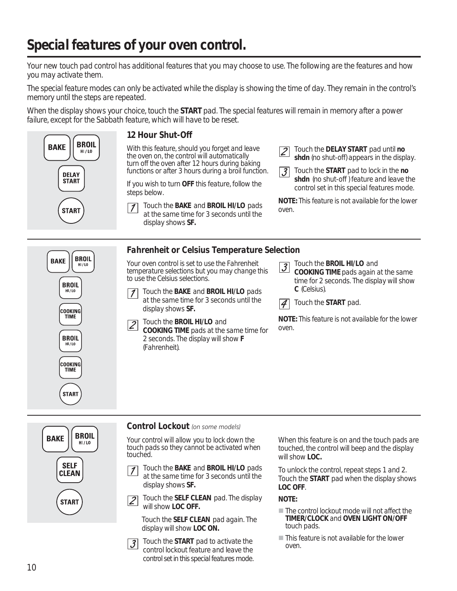# *Special features of your oven control.*

*Your new touch pad control has additional features that you may choose to use. The following are the features and how you may activate them.* 

*The special feature modes can only be activated while the display is showing the time of day. They remain in the control's memory until the steps are repeated.* 

*When the display shows your choice, touch the START pad. The special features will remain in memory after a power failure, except for the Sabbath feature, which will have to be reset.*



### *Control Lockout* (on some models)

*Your control will allow you to lock down the touch pads so they cannot be activated when touched.*

- Touch the *BAKE* and *BROIL HI/LO* pads  $\mathcal I$ at the same time for 3 seconds until the display shows *SF.*
- Touch the *SELF CLEAN* pad. The display  $\overline{2}$ will show *LOC OFF.*

 Touch the *SELF CLEAN* pad again. The display will show *LOC ON.*

 Touch the *START* pad to activate the  $\overline{3}$ control lockout feature and leave the control set in this special features mode. When this feature is on and the touch pads are touched, the control will beep and the display will show *LOC.*

To unlock the control, repeat steps 1 and 2. Touch the *START* pad when the display shows *LOC OFF*.

*NOTE:*

- *The control lockout mode will not affect the TIMER/CLOCK and OVEN LIGHT ON/OFF touch pads.*
- *This feature is not available for the lower oven.*



**TIME** 

**START**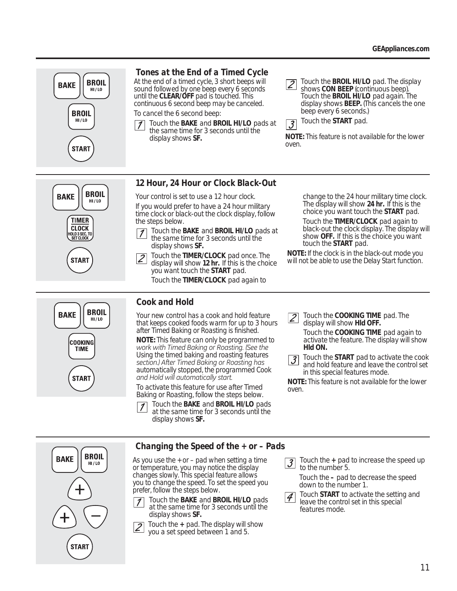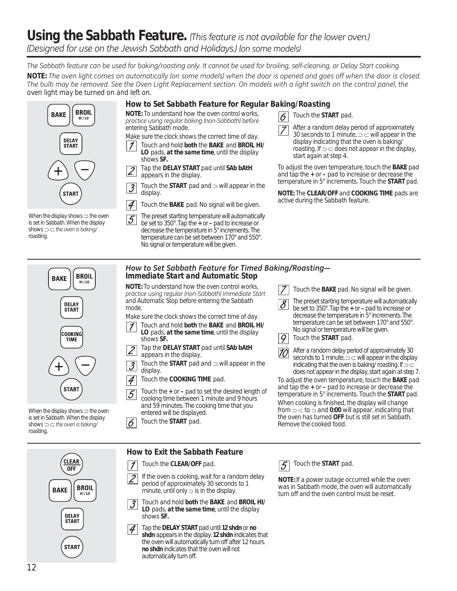# Using the Sabbath Feature. *(This feature is not available for the lower oven.)* (Designed for use on the Jewish Sabbath and Holidays.) (on some models)

The Sabbath feature can be used for baking/roasting only. It cannot be used for broiling, self-cleaning, or Delay Start cooking. *NOTE:* The oven light comes on automatically (on some models) when the door is opened and goes off when the door is closed. The bulb may be removed. See the Oven Light Replacement section. On models with a light switch on the control panel, the *oven light may be turned on and left on.*

### *How to Set Sabbath Feature for Regular Baking/Roasting*

*NOTE: To understand how the oven control works,*  practice using regular baking (non-Sabbath) before *entering Sabbath mode. Make sure the clock shows the correct time of day.*

- Touch and hold *both* the *BAKE* and *BROIL HI/ LO* pads, *at the same time*, until the display shows *SF.*
- Tap the *DELAY START* pad until *SAb bAtH*   $|2|$ appears in the display.
- Touch the  $START$  pad and  $\Rightarrow$  will appear in the  $\vert \mathcal{J} \vert$ display.
- $\boldsymbol{\mathcal{A}}$ Touch the *BAKE* pad. No signal will be given.
- *When the display shows the oven is set in Sabbath. When the display shows*  $\supset$   $\sub$  the oven is baking/ *roasting.*

**BROIL** 

 $HI / LO$ 

**BAKE** 

**DELAY START** 

**START** 

 The preset starting temperature will automatically be set to 350°. Tap the *+* or *–* pad to increase or decrease the temperature in 5° increments. The temperature can be set between 170° and 550°. No signal or temperature will be given.



Touch the *START* pad.

 After a random delay period of approximately 30 seconds to 1 minute,  $\supset \subset$  will appear in the display indicating that the oven is baking/ roasting. If  $\supset \subset$  does not appear in the display, start again at step 4.

To adjust the oven temperature, touch the *BAKE* pad and tap the *+* or *–* pad to increase or decrease the temperature in 5° increments. Touch the *START* pad.

*NOTE:* The *CLEAR/OFF* and *COOKING TIME* pads are active during the Sabbath feature.

| <b>BROIL</b><br><b>BAKE</b><br>HI / LO                                           | How to Set Sabbath Feature for Timed Baking/Roasting-<br><b>Immediate Start and Automatic Stop</b>                                                                                        |                                                                                                                                                                                                                                                                     |  |  |  |
|----------------------------------------------------------------------------------|-------------------------------------------------------------------------------------------------------------------------------------------------------------------------------------------|---------------------------------------------------------------------------------------------------------------------------------------------------------------------------------------------------------------------------------------------------------------------|--|--|--|
|                                                                                  | <b>NOTE:</b> To understand how the oven control works.<br>practice using regular (non-Sabbath) Immediate Start                                                                            | Touch the <b>BAKE</b> pad. No signal will be given.                                                                                                                                                                                                                 |  |  |  |
| <b>DELAY</b><br><b>START</b>                                                     | and Automatic Stop before entering the Sabbath<br>mode.<br>Make sure the clock shows the correct time of day.                                                                             | The preset starting temperature will automatically<br>$\overline{\mathcal{S}}$<br>be set to 350°. Tap the $\neq$ or $-$ pad to increase or<br>decrease the temperature in 5° increments. The                                                                        |  |  |  |
| <b>COOKING</b><br>TIME                                                           | Touch and hold both the BAKE and BROIL HI/<br>LO pads, at the same time, until the display<br>shows SF.                                                                                   | temperature can be set between 170° and 550°.<br>No signal or temperature will be given.<br>9<br>Touch the <b>START</b> pad.                                                                                                                                        |  |  |  |
|                                                                                  | Tap the DELAY START pad until SAb bAtH<br>$\overline{2}$<br>appears in the display.<br>Touch the $START$ pad and $\Rightarrow$ will appear in the<br>$\overline{\mathcal{J}}$<br>display. | After a random delay period of approximately 30<br> 10 <br>seconds to 1 minute, $\Rightarrow \Rightarrow$ will appear in the display<br>indicating that the oven is baking/roasting. If $\supset \subset$<br>does not appear in the display, start again at step 7. |  |  |  |
| <b>START</b>                                                                     | Touch the <b>COOKING TIME</b> pad.<br>Touch the $+$ or $-$ pad to set the desired length of<br>$\overline{5}$<br>cooking time between 1 minute and 9 hours                                | To adjust the oven temperature, touch the <b>BAKE</b> pad<br>and tap the $\neq$ or $-$ pad to increase or decrease the<br>temperature in 5° increments. Touch the <b>START</b> pad.<br>When cooking is finished, the display will change                            |  |  |  |
| When the display shows $\supset$ the oven<br>is set in Sabbath. When the display | and 59 minutes. The cooking time that you<br>entered will be displayed.<br>$\cdots$ $\cdots$                                                                                              | from $\Rightarrow$ $\Rightarrow$ to $\Rightarrow$ and 0:00 will appear, indicating that<br>the oven has turned OFF but is still set in Sabbath.                                                                                                                     |  |  |  |

Touch the *START* pad.

### *How to Exit the Sabbath Feature*



#### Touch the *CLEAR/OFF* pad.  $\mathcal I$

 If the oven is cooking, wait for a random delay  $|2|$ period of approximately 30 seconds to 1 minute, until only  $\supset$  is in the display.

- Touch and hold *both* the *BAKE* and *BROIL HI/*  $\lvert 3 \rvert$ *LO* pads, *at the same time*, until the display shows *SF.*
- Tap the *DELAY START* pad until *12 shdn* or *no*   $|4|$ *shdn* appears in the display. *12 shdn* indicates that the oven will automatically turn off after 12 hours. *no shdn* indicates that the oven will not automatically turn off.

#### Touch the *START* pad.  $\overline{5}$

Remove the cooked food.

*NOTE:* If a power outage occurred while the oven was in Sabbath mode, the oven will automatically turn off and the oven control must be reset.

*is set in Sabbath. When the display*   $shows \supset \sub{\text{the oven}}$  *is baking roasting.*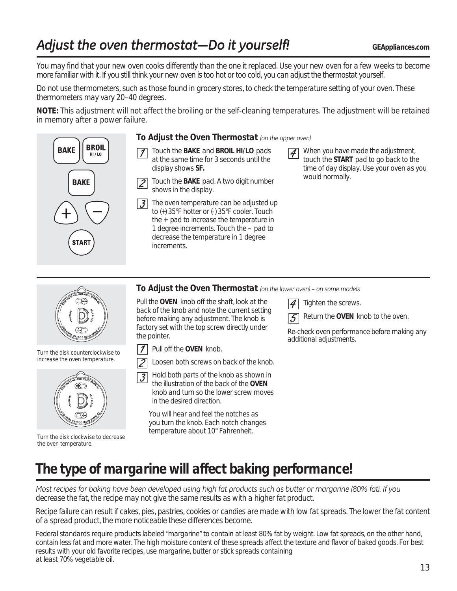# Adjust the oven thermostat-Do it yourself! **Adjust the oven thermostat-Do** it yourself!

*You may find that your new oven cooks differently than the one it replaced. Use your new oven for a few weeks to become more familiar with it. If you still think your new oven is too hot or too cold, you can adjust the thermostat yourself.* 

*Do not use thermometers, such as those found in grocery stores, to check the temperature setting of your oven. These thermometers may vary 20–40 degrees.*

*NOTE: This adjustment will not affect the broiling or the self-cleaning temperatures. The adjustment will be retained in memory after a power failure.*



### *To Adjust the Oven Thermostat (on the upper oven)*

- Touch the *BAKE* and *BROIL HI/LO* pads at the same time for 3 seconds until the display shows *SF.*
- Touch the *BAKE* pad. A two digit number  $|2|$ shows in the display.
- $|\mathcal{J}|$  The oven temperature can be adjusted up to (+) 35°F hotter or (-) 35°F cooler. Touch the *+* pad to increase the temperature in 1 degree increments. Touch the *–* pad to decrease the temperature in 1 degree increments.

 When you have made the adjustment,  $|4|$ touch the *START* pad to go back to the time of day display. Use your oven as you would normally.

To Adjust the Oven Thermostat (on the lower oven) - on some models

Pull the *OVEN* knob off the shaft, look at the back of the knob and note the current setting before making any adjustment. The knob is factory set with the top screw directly under the pointer.



 $\overline{2}$ Loosen both screws on back of the knob.



*Turn the disk counterclockwise to* 

*Turn the disk clockwise to decrease the oven temperature.*

 Hold both parts of the knob as shown in  $\overline{\mathcal{J}}$ the illustration of the back of the *OVEN* knob and turn so the lower screw moves in the desired direction.

You will hear and feel the notches as you turn the knob. Each notch changes temperature about 10° Fahrenheit.

Tighten the screws.

Return the *OVEN* knob to the oven.

*Re-check oven performance before making any additional adjustments.*

*The type of margarine will affect baking performance!*

Most recipes for baking have been developed using high fat products such as butter or margarine (80% fat). If you *decrease the fat, the recipe may not give the same results as with a higher fat product.*

*Recipe failure can result if cakes, pies, pastries, cookies or candies are made with low fat spreads. The lower the fat content of a spread product, the more noticeable these differences become.* 

Federal standards require products labeled "margarine" to contain at least 80% fat by weight. Low fat spreads, on the other hand, contain less fat and more water. The high moisture content of these spreads affect the texture and flavor of baked goods. For best results with your old favorite recipes, use margarine, butter or stick spreads containing at least 70% vegetable oil.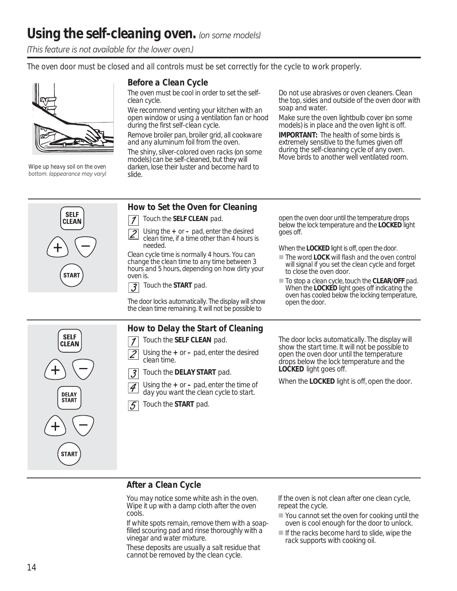*(This feature is not available for the lower oven.)* 

*The oven door must be closed and all controls must be set correctly for the cycle to work properly.*



*Wipe up heavy soil on the oven bottom. (appearance may vary)* 

### *Before a Clean Cycle*

*The oven must be cool in order to set the selfclean cycle.* 

We recommend venting your kitchen with an open window or using a ventilation fan or hood during the first self-clean cycle.

Remove broiler pan, broiler grid, all cookware and any aluminum foil from the oven.

The shiny, silver-colored oven racks (on some models) can be self-cleaned, but they will darken, lose their luster and become hard to slide.

Do not use abrasives or oven cleaners. Clean the top, sides and outside of the oven door with soap and water.

Make sure the oven lightbulb cover (on some models) is in place and the oven light is off.

*IMPORTANT:* The health of some birds is extremely sensitive to the fumes given off during the self-cleaning cycle of any oven. Move birds to another well ventilated room.

### *How to Set the Oven for Cleaning*

 Touch the *SELF CLEAN* pad.  $\mathcal I$ 

 Using the *+* or *–* pad, enter the desired clean time, if a time other than 4 hours is needed.

Clean cycle time is normally 4 hours. You can change the clean time to any time between 3 hours and 5 hours, depending on how dirty your oven is.

 Touch the *START* pad.  $\overline{3}$ 

The door locks automatically. The display will show the clean time remaining. It will not be possible to

### *How to Delay the Start of Cleaning*

- Touch the *SELF CLEAN* pad.  $\boldsymbol{\mathcal{I}}$
- 2 Using the *+* or *–* pad, enter the desired clean time.
- $\overline{\mathcal{S}}$ Touch the *DELAY START* pad.

 Using the *+* or *–* pad, enter the time of day you want the clean cycle to start.



 $|\mathcal{A}$ 

open the oven door until the temperature drops below the lock temperature and the *LOCKED* light goes off.

When the *LOCKED* light is off, open the door.

- The word *LOCK* will flash and the oven control will signal if you set the clean cycle and forget to close the oven door.
- To stop a clean cycle, touch the *CLEAR/OFF* pad. When the *LOCKED* light goes off indicating the oven has cooled below the locking temperature, open the door.

The door locks automatically. The display will show the start time. It will not be possible to open the oven door until the temperature drops below the lock temperature and the *LOCKED* light goes off.

When the *LOCKED* light is off, open the door.

### *After a Clean Cycle*

You may notice some white ash in the oven. Wipe it up with a damp cloth after the oven cools.

*If white spots remain, remove them with a soapfilled scouring pad and rinse thoroughly with a vinegar and water mixture.* 

These deposits are usually a salt residue that cannot be removed by the clean cycle.

If the oven is not clean after one clean cycle, repeat the cycle.

- You cannot set the oven for cooking until the oven is cool enough for the door to unlock.
- $\blacksquare$  If the racks become hard to slide, wipe the rack supports with cooking oil.



**SELF** 

CLEAN

**DELAY START** 

**START**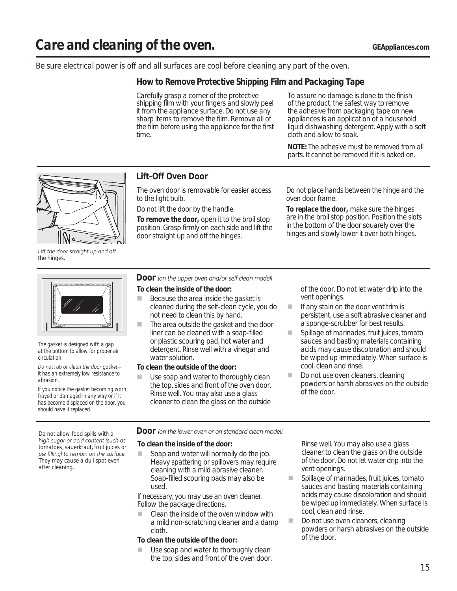#### *Be sure electrical power is off and all surfaces are cool before cleaning any part of the oven.*

### *How to Remove Protective Shipping Film and Packaging Tape*

Carefully grasp a corner of the protective shipping film with your fingers and slowly peel it from the appliance surface. Do not use any sharp items to remove the film. Remove all of the film before using the appliance for the first time.

To assure no damage is done to the finish of the product, the safest way to remove the adhesive from packaging tape on new appliances is an application of a household liquid dishwashing detergent. Apply with a soft cloth and allow to soak.

*NOTE: The adhesive must be removed from all parts. It cannot be removed if it is baked on.*



Lift the door straight up and off *the hinges.*



*The gasket is designed with a gap at the bottom to allow for proper air circulation.*

Do not rub or clean the door aasket*it has an extremely low resistance to abrasion.* 

*If you notice the gasket becoming worn, frayed or damaged in any way or if it has become displaced on the door, you should have it replaced.*

### *Lift-Off Oven Door*

The oven door is removable for easier access to the light bulb.

*Do not lift the door by the handle.* 

*To remove the door,* open it to the broil stop position. Grasp firmly on each side and lift the door straight up and off the hinges.

*Do not place hands between the hinge and the oven door frame.*

*To replace the door,* make sure the hinges are in the broil stop position. Position the slots in the bottom of the door squarely over the hinges and slowly lower it over both hinges.

#### *Door* (on the upper oven and/or self clean model)

#### *To clean the inside of the door:*

- Because the area inside the gasket is cleaned during the self-clean cycle, you do not need to clean this by hand.
- The area outside the gasket and the door liner can be cleaned with a soap-filled or plastic scouring pad, hot water and detergent. Rinse well with a vinegar and water solution.

#### *To clean the outside of the door:*

Use soap and water to thoroughly clean the top, sides and front of the oven door. Rinse well. You may also use a glass cleaner to clean the glass on the outside

of the door. Do not let water drip into the vent openings.

- **If any stain on the door vent trim is** persistent, use a soft abrasive cleaner and a sponge-scrubber for best results.
- Spillage of marinades, fruit juices, tomato sauces and basting materials containing acids may cause discoloration and should be wiped up immediately. When surface is cool, clean and rinse.
- Do not use oven cleaners, cleaning powders or harsh abrasives on the outside of the door.

*high sugar or acid content (such as tomatoes, sauerkraut, fruit juices or*  pie filling) to remain on the surface. *They may cause a dull spot even after cleaning.*

### *Do not allow food spills with a DOOF* (on the lower oven or on standard clean model)

#### *To clean the inside of the door:*

Soap and water will normally do the job. Heavy spattering or spillovers may require cleaning with a mild abrasive cleaner. Soap-filled scouring pads may also be used.

*If necessary, you may use an oven cleaner. Follow the package directions.* 

 Clean the inside of the oven window with a mild non-scratching cleaner and a damp cloth.

#### *To clean the outside of the door:*

Use soap and water to thoroughly clean the top, sides and front of the oven door. Rinse well. You may also use a glass cleaner to clean the glass on the outside of the door. Do not let water drip into the vent openings.

- **Spillage of marinades, fruit juices, tomato** sauces and basting materials containing acids may cause discoloration and should be wiped up immediately. When surface is cool, clean and rinse.
- Do not use oven cleaners, cleaning powders or harsh abrasives on the outside of the door.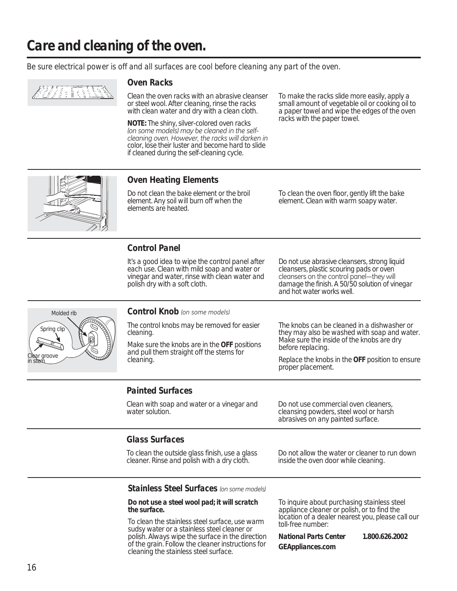*Be sure electrical power is off and all surfaces are cool before cleaning any part of the oven.*



#### *Oven Racks*

Clean the oven racks with an abrasive cleanser or steel wool. After cleaning, rinse the racks with clean water and dry with a clean cloth.

*NOTE: The shiny, silver-colored oven racks*  (on some models) may be cleaned in the self-*<i>Fohapalogies oven* However, the racks will darken in *color, lose their luster and become hard to slide if cleaned during the self-cleaning cycle.*

To make the racks slide more easily, apply a small amount of vegetable oil or cooking oil to a paper towel and wipe the edges of the oven racks with the paper towel.



### *Oven Heating Elements*

*Do not clean the bake element or the broil element. Any soil will burn off when the elements are heated.* 

To clean the oven floor, gently lift the bake element. Clean with warm soapy water.

### *Control Panel*

It's a good idea to wipe the control panel after each use. Clean with mild soap and water or vinegar and water, rinse with clean water and polish dry with a soft cloth.

Do not use abrasive cleansers, strong liquid cleansers, plastic scouring pads or oven cleansers on the control panel-they will damage the finish. A 50/50 solution of vinegar and hot water works well.



#### *Control Knob (on some models)*

*The control knobs may be removed for easier cleaning.*

Make sure the knobs are in the *OFF* positions and pull them straight off the stems for cleaning.

The knobs can be cleaned in a dishwasher or they may also be washed with soap and water. Make sure the inside of the knobs are dry before replacing.

Replace the knobs in the *OFF* position to ensure proper placement.

### *Painted Surfaces*

Clean with soap and water or a vinegar and water solution.

Do not use commercial oven cleaners, cleansing powders, steel wool or harsh abrasives on any painted surface.

### *Glass Surfaces*

To clean the outside glass finish, use a glass cleaner. Rinse and polish with a dry cloth.

Do not allow the water or cleaner to run down inside the oven door while cleaning.

**Stainless Steel Surfaces** (on some models)

#### *Do not use a steel wool pad; it will scratch the surface.*

To clean the stainless steel surface, use warm sudsy water or a stainless steel cleaner or polish. Always wipe the surface in the direction of the grain. Follow the cleaner instructions for cleaning the stainless steel surface.

To inquire about purchasing stainless steel appliance cleaner or polish, or to find the location of a dealer nearest you, please call our toll-free number:

*National Parts Center 1.800.626.2002 GEAppliances.com*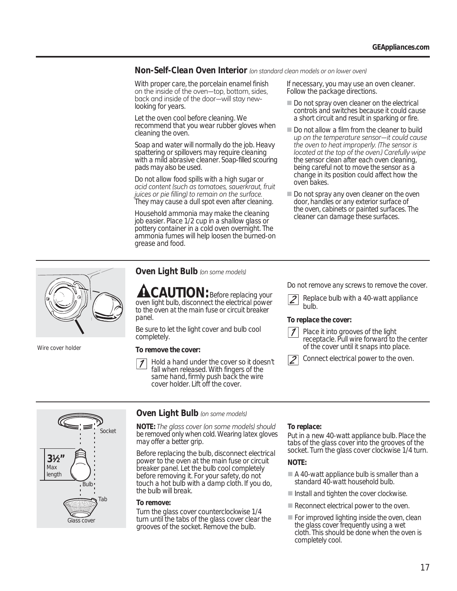*Non-Self-Clean Oven Interior* (on standard clean models or on lower oven)

With proper care, the porcelain enamel finish on the inside of the oven-top, bottom, sides, back and inside of the door-will stay newlooking for years.

Let the oven cool before cleaning. We recommend that you wear rubber gloves when cleaning the oven.

Soap and water will normally do the job. Heavy spattering or spillovers may require cleaning with a mild abrasive cleaner. Soap-filled scouring pads may also be used.

*Do not allow food spills with a high sugar or dcid content (such as tomatoes, sauerkraut, fruit juices or pie filling)* to remain on the surface. *They may cause a dull spot even after cleaning.*

Household ammonia may make the cleaning job easier. Place 1/2 cup in a shallow glass or pottery container in a cold oven overnight. The ammonia fumes will help loosen the burned-on grease and food.

If necessary, you may use an oven cleaner. Follow the package directions.

- *Do not spray oven cleaner on the electrical controls and switches because it could cause a short circuit and result in sparking or fire.*
- *Do not allow a film from the cleaner to build*  up on the temperature sensor—it could cause *the oven to heat improperly. (The sensor is located at the top of the oven.) Carefully wipe the sensor clean after each oven cleaning, being careful not to move the sensor as a change in its position could affect how the oven bakes.*
- *Do not spray any oven cleaner on the oven door, handles or any exterior surface of the oven, cabinets or painted surfaces. The cleaner can damage these surfaces.*



*Wire cover holder*

#### *Oven Light Bulb* (on some models)

*CAUTION: Before replacing your oven light bulb, disconnect the electrical power to the oven at the main fuse or circuit breaker panel.* 

Be sure to let the light cover and bulb cool completely.

#### *To remove the cover:*

 Hold a hand under the cover so it doesn't fall when released. With fingers of the same hand, firmly push back the wire cover holder. Lift off the cover.

*Do not remove any screws to remove the cover.*

 Replace bulb with a 40-watt appliance bulb.

#### *To replace the cover:*



Connect electrical power to the oven.



### *Oven Light Bulb* (on some models)

*NOTE:* The glass cover (on some models) should *be removed only when cold. Wearing latex gloves may offer a better grip.*

Before replacing the bulb, disconnect electrical power to the oven at the main fuse or circuit breaker panel. Let the bulb cool completely before removing it. For your safety, do not touch a hot bulb with a damp cloth. If you do, the bulb will break.

#### *To remove:*

Turn the glass cover counterclockwise 1/4 turn until the tabs of the glass cover clear the grooves of the socket. Remove the bulb.

### *To replace:*

Put in a new 40-watt appliance bulb. Place the tabs of the glass cover into the grooves of the socket. Turn the glass cover clockwise 1/4 turn.

#### *NOTE:*

- *A 40-watt appliance bulb is smaller than a standard 40-watt household bulb.*
- *Install and tighten the cover clockwise.*
- *Reconnect electrical power to the oven.*
- *For improved lighting inside the oven, clean the glass cover frequently using a wet cloth. This should be done when the oven is completely cool.*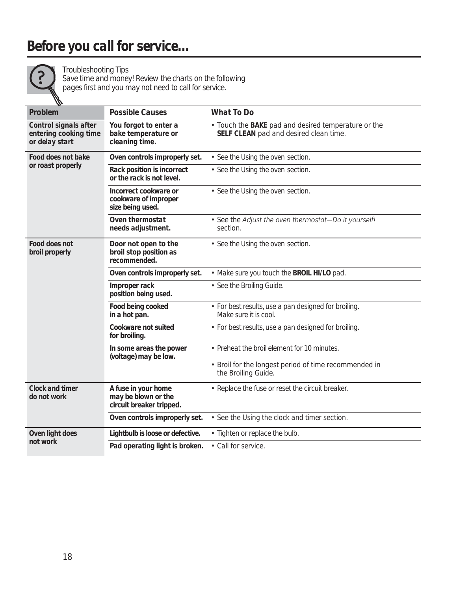# *Before you call for service…*



### *Troubleshooting Tips*

*Save time and money! Review the charts on the following pages first and you may not need to call for service.*

| w                                                                |                                                                        |                                                                                                             |
|------------------------------------------------------------------|------------------------------------------------------------------------|-------------------------------------------------------------------------------------------------------------|
| Problem                                                          | Possible Causes                                                        | What To Do                                                                                                  |
| Control signals after<br>entering cooking time<br>or delay start | You forgot to enter a<br>bake temperature or<br>cleaning time.         | • Touch the <b>BAKE</b> pad and desired temperature or the<br><b>SELF CLEAN</b> pad and desired clean time. |
| Food does not bake                                               | Oven controls improperly set.                                          | • See the Using the oven section.                                                                           |
| or roast properly                                                | Rack position is incorrect<br>or the rack is not level.                | • See the Using the oven section.                                                                           |
|                                                                  | Incorrect cookware or<br>cookware of improper<br>size being used.      | • See the Using the oven section.                                                                           |
|                                                                  | Oven thermostat<br>needs adjustment.                                   | • See the Adjust the oven thermostat-Do it yourself!<br>section.                                            |
| Food does not<br>broil properly                                  | Door not open to the<br>broil stop position as<br>recommended.         | • See the Using the oven section.                                                                           |
|                                                                  | Oven controls improperly set.                                          | • Make sure you touch the <b>BROIL HI/LO</b> pad.                                                           |
|                                                                  | Improper rack<br>position being used.                                  | · See the Broiling Guide.                                                                                   |
|                                                                  | Food being cooked<br>in a hot pan.                                     | • For best results, use a pan designed for broiling.<br>Make sure it is cool.                               |
|                                                                  | Cookware not suited<br>for broiling.                                   | • For best results, use a pan designed for broiling.                                                        |
|                                                                  | In some areas the power<br>(voltage) may be low.                       | • Preheat the broil element for 10 minutes.                                                                 |
|                                                                  |                                                                        | • Broil for the longest period of time recommended in<br>the Broiling Guide.                                |
| Clock and timer<br>do not work                                   | A fuse in your home<br>may be blown or the<br>circuit breaker tripped. | • Replace the fuse or reset the circuit breaker.                                                            |
|                                                                  | Oven controls improperly set.                                          | • See the Using the clock and timer section.                                                                |
| Oven light does                                                  | Lightbulb is loose or defective.                                       | • Tighten or replace the bulb.                                                                              |
| not work                                                         | Pad operating light is broken.                                         | • Call for service.                                                                                         |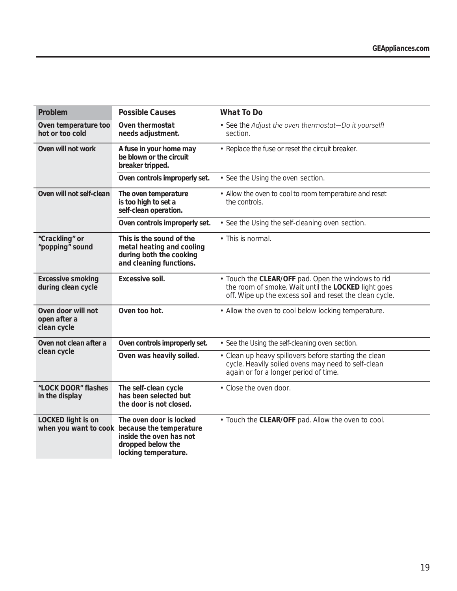| Problem                                           | Possible Causes                                                                                                                                  | What To Do                                                                                                                                                           |  |
|---------------------------------------------------|--------------------------------------------------------------------------------------------------------------------------------------------------|----------------------------------------------------------------------------------------------------------------------------------------------------------------------|--|
| Oven temperature too<br>hot or too cold           | Oven thermostat<br>needs adjustment.                                                                                                             | • See the Adjust the oven thermostat-Do it yourself!<br>section.                                                                                                     |  |
| Oven will not work                                | A fuse in your home may<br>be blown or the circuit<br>breaker tripped.                                                                           | • Replace the fuse or reset the circuit breaker.                                                                                                                     |  |
|                                                   | Oven controls improperly set.                                                                                                                    | • See the Using the oven section.                                                                                                                                    |  |
| Oven will not self-clean                          | The oven temperature<br>is too high to set a<br>self-clean operation.                                                                            | • Allow the oven to cool to room temperature and reset<br>the controls.                                                                                              |  |
|                                                   | Oven controls improperly set.                                                                                                                    | • See the Using the self-cleaning oven section.                                                                                                                      |  |
| "Crackling" or<br>"popping" sound                 | This is the sound of the<br>metal heating and cooling<br>during both the cooking<br>and cleaning functions.                                      | • This is normal.                                                                                                                                                    |  |
| Excessive smoking<br>during clean cycle           | Excessive soil.                                                                                                                                  | • Touch the CLEAR/OFF pad. Open the windows to rid<br>the room of smoke. Wait until the LOCKED light goes<br>off. Wipe up the excess soil and reset the clean cycle. |  |
| Oven door will not<br>open after a<br>clean cycle | Oven too hot.                                                                                                                                    | • Allow the oven to cool below locking temperature.                                                                                                                  |  |
| Oven not clean after a                            | Oven controls improperly set.                                                                                                                    | • See the Using the self-cleaning oven section.                                                                                                                      |  |
| clean cycle                                       | Oven was heavily soiled.                                                                                                                         | • Clean up heavy spillovers before starting the clean<br>cycle. Heavily soiled ovens may need to self-clean<br>again or for a longer period of time.                 |  |
| "LOCK DOOR" flashes<br>in the display             | The self-clean cycle<br>has been selected but<br>the door is not closed.                                                                         | • Close the oven door.                                                                                                                                               |  |
| LOCKED light is on                                | The oven door is locked<br>when you want to cook because the temperature<br>inside the oven has not<br>dropped below the<br>locking temperature. | • Touch the CLEAR/OFF pad. Allow the oven to cool.                                                                                                                   |  |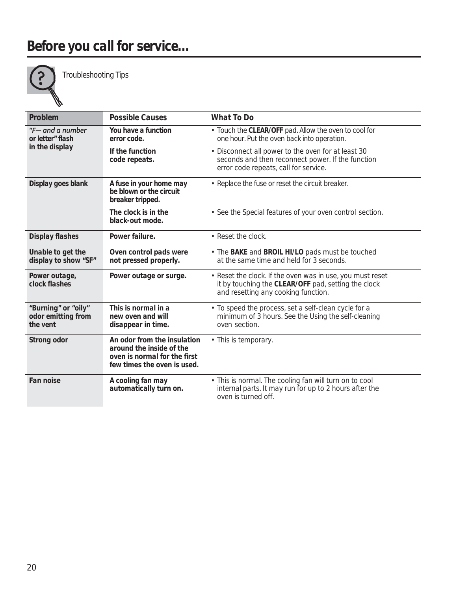

*Troubleshooting Tips* 

| Problem                                               | Possible Causes                                                                                                        | What To Do                                                                                                                                              |
|-------------------------------------------------------|------------------------------------------------------------------------------------------------------------------------|---------------------------------------------------------------------------------------------------------------------------------------------------------|
| "F- and a number<br>or letter" flash                  | You have a function<br>error code.                                                                                     | • Touch the CLEAR/OFF pad. Allow the oven to cool for<br>one hour. Put the oven back into operation.                                                    |
| in the display                                        | If the function<br>code repeats.                                                                                       | • Disconnect all power to the oven for at least 30<br>seconds and then reconnect power. If the function<br>error code repeats, call for service.        |
| Display goes blank                                    | A fuse in your home may<br>be blown or the circuit<br>breaker tripped.                                                 | • Replace the fuse or reset the circuit breaker.                                                                                                        |
|                                                       | The clock is in the<br>black-out mode.                                                                                 | • See the Special features of your oven control section.                                                                                                |
| Display flashes                                       | Power failure.                                                                                                         | • Reset the clock.                                                                                                                                      |
| Unable to get the<br>display to show "SF"             | Oven control pads were<br>not pressed properly.                                                                        | • The <b>BAKE</b> and <b>BROIL HI/LO</b> pads must be touched<br>at the same time and held for 3 seconds.                                               |
| Power outage,<br>clock flashes                        | Power outage or surge.                                                                                                 | • Reset the clock. If the oven was in use, you must reset<br>it by touching the CLEAR/OFF pad, setting the clock<br>and resetting any cooking function. |
| "Burning" or "oily"<br>odor emitting from<br>the vent | This is normal in a<br>new oven and will<br>disappear in time.                                                         | • To speed the process, set a self-clean cycle for a<br>minimum of 3 hours. See the Using the self-cleaning<br>oven section.                            |
| Strong odor                                           | An odor from the insulation<br>around the inside of the<br>oven is normal for the first<br>few times the oven is used. | • This is temporary.                                                                                                                                    |
| Fan noise                                             | A cooling fan may<br>automatically turn on.                                                                            | • This is normal. The cooling fan will turn on to cool<br>internal parts. It may run for up to 2 hours after the<br>oven is turned off.                 |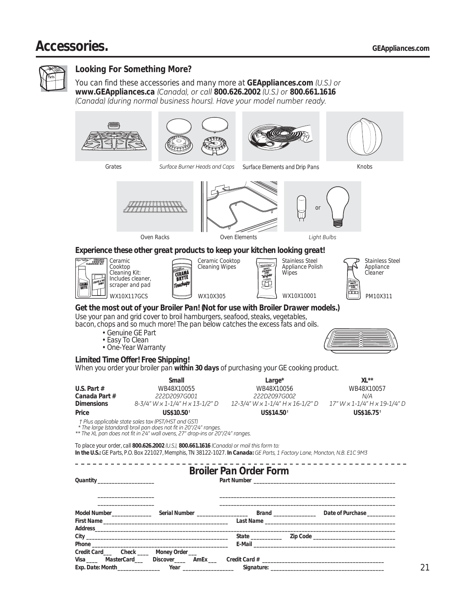# *Accessories. GEAppliances.com*



### *Looking For Something More?*

*You can find these accessories and many more at <i>GEAppliances.com* (U.S.) or *www.GEAppliances.ca* (Canada), or call 800.626.2002 (U.S.) or 800.661.1616 *(Canada)* (during normal business hours). Have your model number ready.









Grates *6THT Surface Burner Heads and Caps Surface Elements and Drip Pans* 

*Knobs*



*Oven Elements Light Bulbs* 

*or*

### *Experience these other great products to keep your kitchen looking great!*







*WX10X117GCS WX10X305 WX10X10001 PM10X311 Stainless Steel Appliance Polish Wipes*



*Get the most out of your Broiler Pan! (Not for use with Broiler Drawer models.)* Use your pan and grid cover to broil hamburgers, seafood, steaks, vegetables,

bacon, chops and so much more! The pan below catches the excess fats and oils.

- Genuine GE Part
- Easy To Clean
- One-Year Warranty



#### *Limited Time Offer! Free Shipping!*

When you order your broiler pan *within 30 days* of purchasing your GE cooking product.

|               | Small                           | Large*                           | $XL^{\ast\ast}$              |
|---------------|---------------------------------|----------------------------------|------------------------------|
| U.S. Part $#$ | <i>WB48X10055</i>               | <i>WB48X10056</i>                | <i>WB48X10057</i>            |
| Canada Part # | 222D2097G001                    | 222D2097G002                     | N/A                          |
| Dimensions    | 8-3/4" W x 1-1/4" H x 13-1/2" D | 12-3/4" W x 1-1/4" H x 16-1/2" D | 17" W x 1-1/4" H x 19-1/4" D |
| Price         | <b>US\$10.50</b> †              | US\$14.50 <sup>†</sup>           | $US$16.75^{\dagger}$         |

*3OXVDSSOLFDEOHVWDWHVDOHVWD[367+67DQG\*67*

\* The large (standard) broil pan does not fit in 20"/24" ranges.

\*\* The XL pan does not fit in 24" wall ovens, 27" drop-ins or 20"/24" ranges.

*To place your order, call 800.626.2002* (U.S.), 800.661.1616 (Canada) or mail this form to: *In the U.S.: GE Parts, P.O. Box 221027, Memphis, TN 38122-1027. In Canada: GE Parts, 1 Factory Lane, Moncton, N.B. E1C 9M3* 

|                               |                                                                                                                | <b>Broiler Pan Order Form</b> |                                                                              |
|-------------------------------|----------------------------------------------------------------------------------------------------------------|-------------------------------|------------------------------------------------------------------------------|
|                               |                                                                                                                |                               | Model Number         Serial Number           Brand          Date of Purchase |
|                               |                                                                                                                |                               |                                                                              |
| Credit Card Check Money Order | Exp. Date: Month____________________Year _______________________Signature: ___________________________________ |                               |                                                                              |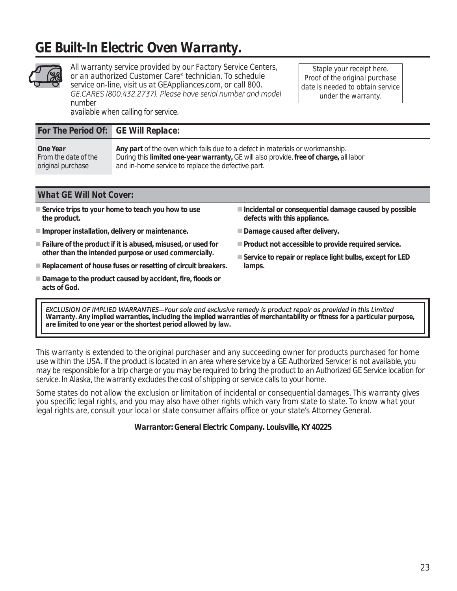# *GE Built-In Electric Oven Warranty.*



*All warranty service provided by our Factory Service Centers, or an authorized Customer Care® technician. To schedule service on-line, visit us at GEAppliances.com, or call 800.* GE.CARES (800.432.2737). Please have serial number and model *number* 

*Staple your receipt here. Proof of the original purchase date is needed to obtain service under the warranty.*

*availa ble when calling for service.*

### *For The Period Of: GE Will Replace:*

| One Year             | Any part of the oven which fails due to a defect in materials or workmanship.                          |
|----------------------|--------------------------------------------------------------------------------------------------------|
| From the date of the | During this <i>limited one-year warranty</i> , GE will also provide, <i>free of charge</i> , all labor |
| original purchase    | and in-home service to replace the defective part.                                                     |

### *What GE Will Not Cover:*

- **Service trips to your home to teach you how to use the product.**
- **Improper installation, delivery or maintenance.**
- **Failure of the product if it is abused, misused, or used for other than the intended purpose or used commercially.**
- **Replacement of house fuses or resetting of circuit breakers.**
- Damage to the product caused by accident, fire, floods or **acts of God.**
- **Incidental or consequential damage caused by possible defects with this appliance.**
- **Damage caused after delivery.**
- **Product not accessible to provide required service.**
- **Service to repair or replace light bulbs, except for LED lamps.**

EXCLUSION OF IMPLIED WARRANTIES-Your sole and exclusive remedy is product repair as provided in this Limited *Warranty. Any implied warranties, including the implied warranties of merchantability or fitness for a particular purpose, are limited to one year or the shortest period allowed by law.*

*This warranty is extended to the original purchaser and any succeeding owner for products purchased for home use within the USA. If the product is located in an area where service by a GE Authorized Servicer is not available, you may be responsible for a trip charge or you may be required to bring the product to an Authorized GE Service location for service. In Alaska, the warranty excludes the cost of shipping or service calls to your home.*

*Some states do not allow the exclusion or limitation of incidental or consequential damages. This warranty gives you specific legal rights, and you may also have other rights which vary from state to state. To know what your legal rights are, consult your local or state consumer affairs office or your state's Attorney General.*

*Warrantor: General Electric Company. Louisville, KY 40225*